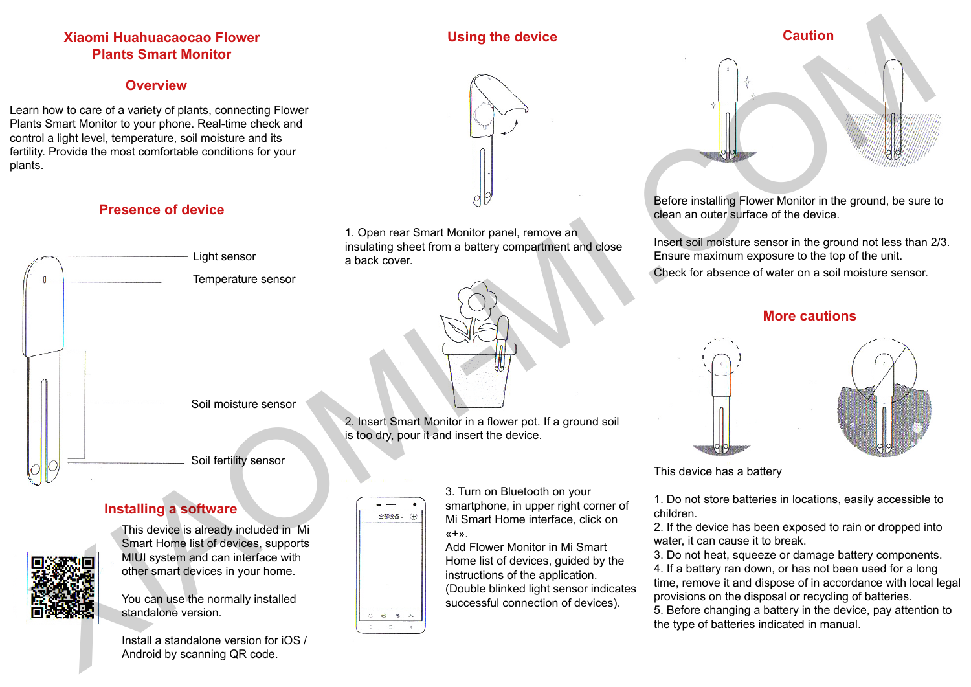# **Xiaomi Huahuacaocao Flower Plants Smart Monitor**

# **Overview**

Learn how to care of a variety of plants, connecting Flower Plants Smart Monitor to your phone. Real-time check and control a light level, temperature, soil moisture and its fertility. Provide the most comfortable conditions for your plants.

# **Presence of device**



# **Installing a software**



This device is already included in Mi Smart Home list of devices, supports MIUI system and can interface with other smart devices in your home.

You can use the normally installed standalone version.





3. Turn on Bluetooth on your smartphone, in upper right corner of Mi Smart Home interface, click on  $x + y$ 

Add Flower Monitor in Mi Smart Home list of devices, guided by the instructions of the application. (Double blinked light sensor indicates successful connection of devices).

# **Caution**

Before installing Flower Monitor in the ground, be sure to clean an outer surface of the device.

Insert soil moisture sensor in the ground not less than 2/3. Ensure maximum exposure to the top of the unit. Check for absence of water on a soil moisture sensor.

# **More cautions**





This device has a battery

1. Do not store batteries in locations, easily accessible to children.

2. If the device has been exposed to rain or dropped into water, it can cause it to break.

3. Do not heat, squeeze or damage battery components. 4. If a battery ran down, or has not been used for a long time, remove it and dispose of in accordance with local legal provisions on the disposal or recycling of batteries.

5. Before changing a battery in the device, pay attention to the type of batteries indicated in manual.

Install a standalone version for iOS / Android by scanning QR code.



**Using the device**